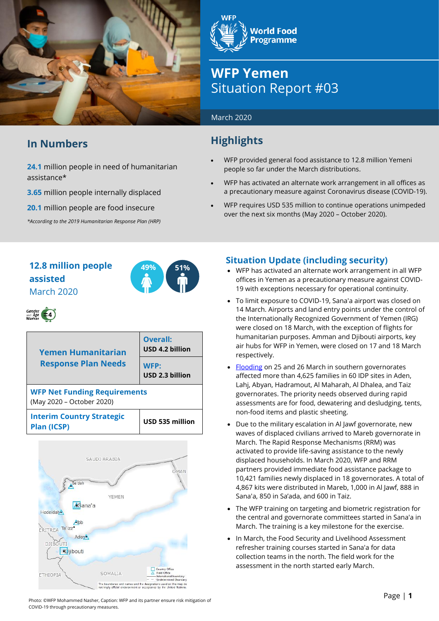

## **In Numbers**

**24.1** million people in need of humanitarian assistance\*

**3.65** million people internally displaced

**20.1** million people are food insecure

*\*According to the 2019 Humanitarian Response Plan (HRP)*

**World Food Programme** 

# **WFP Yemen** Situation Report #03

#### March 2020

## **Highlights**

- WFP provided general food assistance to 12.8 million Yemeni people so far under the March distributions.
- WFP has activated an alternate work arrangement in all offices as a precautionary measure against Coronavirus disease (COVID-19).
- WFP requires USD 535 million to continue operations unimpeded over the next six months (May 2020 – October 2020).

## **12.8 million people assisted** March 2020



| <b>Yemen Humanitarian</b><br><b>Response Plan Needs</b>          | Overall:<br>USD 4.2 billion |  |  |  |  |
|------------------------------------------------------------------|-----------------------------|--|--|--|--|
|                                                                  | WFP:<br>USD 2.3 billion     |  |  |  |  |
| <b>WFP Net Funding Requirements</b><br>(May 2020 - October 2020) |                             |  |  |  |  |
| <b>Interim Country Strategic</b><br><b>Plan (ICSP)</b>           | USD 535 million             |  |  |  |  |



### **Situation Update (including security)**

- WFP has activated an alternate work arrangement in all WFP offices in Yemen as a precautionary measure against COVID-19 with exceptions necessary for operational continuity.
- To limit exposure to COVID-19, Sana'a airport was closed on 14 March. Airports and land entry points under the control of the Internationally Recognized Government of Yemen (IRG) were closed on 18 March, with the exception of flights for humanitarian purposes. Amman and Djibouti airports, key air hubs for WFP in Yemen, were closed on 17 and 18 March respectively.
- [Flooding](https://reliefweb.int/report/yemen/yemen-flash-floods-southern-governorates-flash-update-no-1-31-march-2020) on 25 and 26 March in southern governorates affected more than 4,625 families in 60 IDP sites in Aden, Lahj, Abyan, Hadramout, Al Maharah, Al Dhalea, and Taiz governorates. The priority needs observed during rapid assessments are for food, dewatering and desludging, tents, non-food items and plastic sheeting.
- Due to the military escalation in Al Jawf governorate, new waves of displaced civilians arrived to Mareb governorate in March. The Rapid Response Mechanisms (RRM) was activated to provide life-saving assistance to the newly displaced households. In March 2020, WFP and RRM partners provided immediate food assistance package to 10,421 families newly displaced in 18 governorates. A total of 4,867 kits were distributed in Mareb, 1,000 in Al Jawf, 888 in Sana'a, 850 in Sa'ada, and 600 in Taiz.
- The WFP training on targeting and biometric registration for the central and governorate committees started in Sana'a in March. The training is a key milestone for the exercise.
- In March, the Food Security and Livelihood Assessment refresher training courses started in Sana'a for data collection teams in the north. The field work for the assessment in the north started early March.

Photo: ©WFP Mohammed Nasher, Caption: WFP and its partner ensure risk mitigation of COVID-19 through precautionary measures.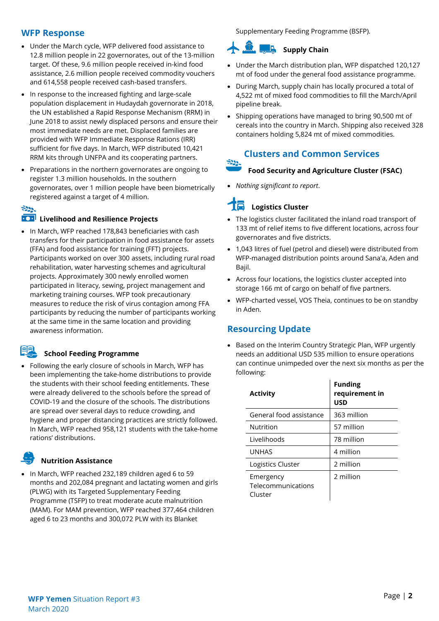#### **WFP Response**

- Under the March cycle, WFP delivered food assistance to 12.8 million people in 22 governorates, out of the 13-million target. Of these, 9.6 million people received in-kind food assistance, 2.6 million people received commodity vouchers and 614,558 people received cash-based transfers.
- In response to the increased fighting and large-scale population displacement in Hudaydah governorate in 2018, the UN established a Rapid Response Mechanism (RRM) in June 2018 to assist newly displaced persons and ensure their most immediate needs are met. Displaced families are provided with WFP Immediate Response Rations (IRR) sufficient for five days. In March, WFP distributed 10,421 RRM kits through UNFPA and its cooperating partners.
- Preparations in the northern governorates are ongoing to register 1.3 million households. In the southern governorates, over 1 million people have been biometrically registered against a target of 4 million.

#### $-222$

#### **100** Livelihood and Resilience Projects

• In March, WFP reached 178,843 beneficiaries with cash transfers for their participation in food assistance for assets (FFA) and food assistance for training (FFT) projects. Participants worked on over 300 assets, including rural road rehabilitation, water harvesting schemes and agricultural projects. Approximately 300 newly enrolled women participated in literacy, sewing, project management and marketing training courses. WFP took precautionary measures to reduce the risk of virus contagion among FFA participants by reducing the number of participants working at the same time in the same location and providing awareness information.

#### **School Feeding Programme**

• Following the early closure of schools in March, WFP has been implementing the take-home distributions to provide the students with their school feeding entitlements. These were already delivered to the schools before the spread of COVID-19 and the closure of the schools. The distributions are spread over several days to reduce crowding, and hygiene and proper distancing practices are strictly followed. In March, WFP reached 958,121 students with the take-home rations' distributions.

## **Nutrition Assistance**

• In March, WFP reached 232,189 children aged 6 to 59 months and 202,084 pregnant and lactating women and girls (PLWG) with its Targeted Supplementary Feeding Programme (TSFP) to treat moderate acute malnutrition (MAM). For MAM prevention, WFP reached 377,464 children aged 6 to 23 months and 300,072 PLW with its Blanket

Supplementary Feeding Programme (BSFP).

## **Supply** Chain

- Under the March distribution plan, WFP dispatched 120,127 mt of food under the general food assistance programme.
- During March, supply chain has locally procured a total of 4,522 mt of mixed food commodities to fill the March/April pipeline break.
- Shipping operations have managed to bring 90,500 mt of cereals into the country in March. Shipping also received 328 containers holding 5,824 mt of mixed commodities.

## **Clusters and Common Services**

#### **Food Security and Agriculture Cluster (FSAC)**

• *Nothing significant to report*.

## **Logistics Cluster**

- The logistics cluster facilitated the inland road transport of 133 mt of relief items to five different locations, across four governorates and five districts.
- 1,043 litres of fuel (petrol and diesel) were distributed from WFP-managed distribution points around Sana'a, Aden and Bajil.
- Across four locations, the logistics cluster accepted into storage 166 mt of cargo on behalf of five partners.
- WFP-charted vessel, VOS Theia, continues to be on standby in Aden.

## **Resourcing Update**

• Based on the Interim Country Strategic Plan, WFP urgently needs an additional USD 535 million to ensure operations can continue unimpeded over the next six months as per the following:

| <b>Activity</b>                            | <b>Funding</b><br>requirement in<br><b>USD</b> |
|--------------------------------------------|------------------------------------------------|
| General food assistance                    | 363 million                                    |
| Nutrition                                  | 57 million                                     |
| Livelihoods                                | 78 million                                     |
| <b>UNHAS</b>                               | 4 million                                      |
| Logistics Cluster                          | 2 million                                      |
| Emergency<br>Telecommunications<br>Cluster | 2 million                                      |